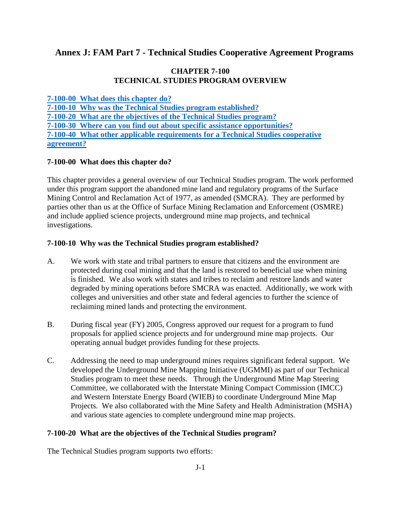# **Annex J: FAM Part 7 - Technical Studies Cooperative Agreement Programs**

#### **CHAPTER 7-100 TECHNICAL STUDIES PROGRAM OVERVIEW**

**[7-100-00 What does this chapter do?](#page-0-0)**

<span id="page-0-0"></span>**[7-100-10 Why was the Technical Studies program established?](#page-0-1) [7-100-20 What are the objectives of the Technical Studies program?](#page-0-2) [7-100-30 Where can you find out about specific assistance opportunities?](#page-1-0) [7-100-40 What other applicable requirements for a Technical Studies cooperative](#page-1-1) [agreement?](#page-1-1)** 

## **7-100-00 What does this chapter do?**

This chapter provides a general overview of our Technical Studies program. The work performed under this program support the abandoned mine land and regulatory programs of the Surface Mining Control and Reclamation Act of 1977, as amended (SMCRA). They are performed by parties other than us at the Office of Surface Mining Reclamation and Enforcement (OSMRE) and include applied science projects, underground mine map projects, and technical investigations.

## <span id="page-0-1"></span>**7-100-10 Why was the Technical Studies program established?**

- A. We work with state and tribal partners to ensure that citizens and the environment are protected during coal mining and that the land is restored to beneficial use when mining is finished. We also work with states and tribes to reclaim and restore lands and water degraded by mining operations before SMCRA was enacted. Additionally, we work with colleges and universities and other state and federal agencies to further the science of reclaiming mined lands and protecting the environment.
- B. During fiscal year (FY) 2005, Congress approved our request for a program to fund proposals for applied science projects and for underground mine map projects. Our operating annual budget provides funding for these projects.
- C. Addressing the need to map underground mines requires significant federal support. We developed the Underground Mine Mapping Initiative (UGMMI) as part of our Technical Studies program to meet these needs. Through the Underground Mine Map Steering Committee, we collaborated with the Interstate Mining Compact Commission (IMCC) and Western Interstate Energy Board (WIEB) to coordinate Underground Mine Map Projects. We also collaborated with the Mine Safety and Health Administration (MSHA) and various state agencies to complete underground mine map projects.

#### <span id="page-0-2"></span>**7-100-20 What are the objectives of the Technical Studies program?**

The Technical Studies program supports two efforts: